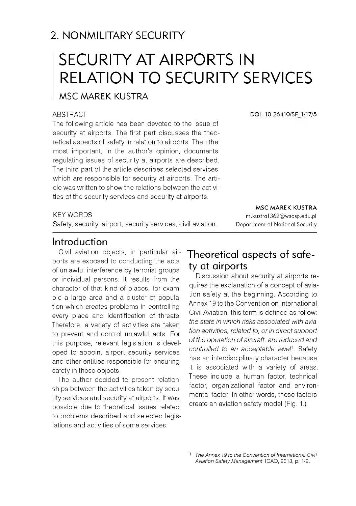# 2. NONMILITARY SECURITY

# SECURITY AT AIRPORTS IN RELATION TO SECURITY SERVICES

# MSC MAREK KUSTRA

#### ABSTRACT

The following article has been devoted to the issue of security at airports. The first part discusses the theoretical aspects of safety in relation to airports. Then the most important, in the author's opinion, documents regulating issues of security at airports are described. The third part of the article describes selected services which are responsible for security at airports. The article was written to show the relations between the activities of the security services and security at airports.

**DOI: 10.26410/SF 1/17/5**

**MSC MAREK KUSTRA** [m .kustra1362@ w sosp.edu.pl](mailto:m.kustra1362@wsosp.edu.pl)  Department of National Security

#### KEY WORDS

Safety, security, airport, security services, civil aviation.

## Introduction

Civil aviation objects, in particular airports are exposed to conducting the acts of unlawful interference by terrorist groups or individual persons. It results from the character of that kind of places, for example a large area and a cluster of population which creates problems in controlling every place and identification of threats. Therefore, a variety of activities are taken to prevent and control unlawful acts. For this purpose, relevant legislation is developed to appoint airport security services and other entities responsible for ensuring safety in these objects.

The author decided to present relationships between the activities taken by security services and security at airports. It was possible due to theoretical issues related to problems described and selected legislations and activities of some services.

# Theoretical aspects of safety at airports

Discussion about security at airports requires the explanation of a concept of aviation safety at the beginning. According to Annex 19 to the Convention on International Civil Aviation, this term is defined as follow: *the state in which risks associated with aviation activities, related to, or in direct support of the operation of aircraft, are reduced and controlled to an acceptable level*1. Safety has an interdisciplinary character because it is associated with a variety of areas. These include a human factor, technical factor, organizational factor and environmental factor. In other words, these factors create an aviation safety model (Fig. 1.)

**The Annex 19 to the Convention of International Civil** *Aviation Safety Management,* ICAO, 2013, p. 1-2.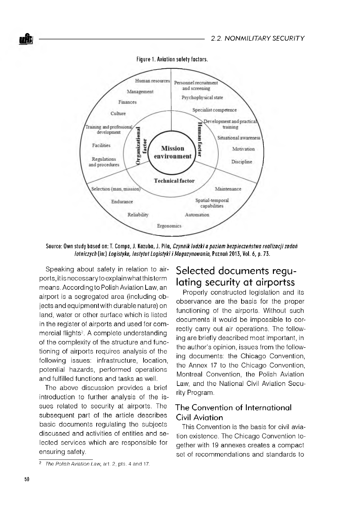

**Figure 1. Aviation safety factors.** 

Source: Own study based on: T. Compa, J. Kozuba, J. Pila, *Czynnik ludzki a poziom bezpieczeństwa realizacji zadań lotniczych* (in:) *Logistyka, Instytut Logistyki i Magazynowania*, Poznań 2013, Vol. 6, p. 73.

Speaking about safety in relation to airports, it is necessary to explain what this term means. According to Polish Aviation Law, an airport is a segregated area (including objects and equipment with durable nature) on land, water or other surface which is listed in the register of airports and used for commercial flights<sup>2</sup>. A complete understanding of the complexity of the structure and functioning of airports requires analysis of the following issues: infrastructure, location, potential hazards, performed operations and fulfilled functions and tasks as well.

The above discussion provides a brief introduction to further analysis of the issues related to security at airports. The subsequent part of the article describes basic documents regulating the subjects discussed and activities of entities and selected services which are responsible for ensuring safety.

# Selected documents regulating security at airportss

Properly constructed legislation and its observance are the basis for the proper functioning of the airports. Without such documents it would be impossible to correctly carry out air operations. The following are briefly described most important, in the author's opinion, issues from the following documents: the Chicago Convention, the Annex 17 to the Chicago Convention, Montreal Convention, the Polish Aviation Law, and the National Civil Aviation Security Program.

## The Convention of International Civil Aviation

This Convention is the basis for civil aviation existence. The Chicago Convention together with 19 annexes creates a compact set of recommendations and standards to

<sup>2</sup> *The Polish Aviation Law*, art. 2, pts. 4 and 17.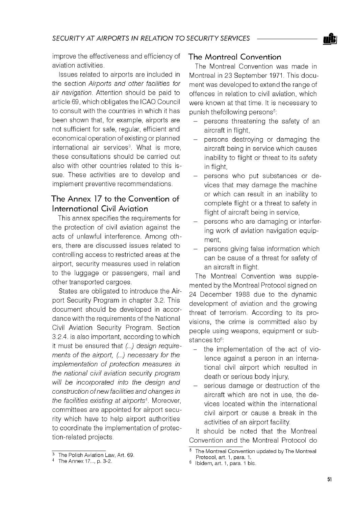improve the effectiveness and efficiency of aviation activities.

Issues related to airports are included in the section *Airports and other facilities for air navigation.* Attention should be paid to article 69, which obligates the ICAO Council to consult with the countries in which it has been shown that, for example, airports are not sufficient for safe, regular, efficient and economical operation of existing or planned international air services<sup>3</sup>. What is more, these consultations should be carried out also with other countries related to this issue. These activities are to develop and implement preventive recommendations.

## The Annex 17 to the Convention of International Civil Aviation

This annex specifies the requirements for the protection of civil aviation against the acts of unlawful interference. Among others, there are discussed issues related to controlling access to restricted areas at the airport, security measures used in relation to the luggage or passengers, mail and other transported cargoes.

States are obligated to introduce the Airport Security Program in chapter 3.2. This document should be developed in accordance with the requirements of the National Civil Aviation Security Program. Section 3.2.4. is also important, according to which it must be ensured that *(...) design requirements of the airport, (...) necessary for the implementation of protection measures in the national civil aviation security program will be incorporated into the design and construction of new facilities and changes in the facilities existing at airports4.* Moreover, committees are appointed for airport security which have to help airport authorities to coordinate the implementation of protection-related projects.

## The Montreal Convention

The Montreal Convention was made in Montreal in 23 September 1971. This document was developed to extend the range of offences in relation to civil aviation, which were known at that time. It is necessary to punish thefollowing persons<sup>5</sup>:

- persons threatening the safety of an aircraft in flight,
- persons destroying or damaging the aircraft being in service which causes inability to flight or threat to its safety in flight,
- persons who put substances or devices that may damage the machine or which can result in an inability to complete flight or a threat to safety in flight of aircraft being in service.
- persons who are damaging or interfering work of aviation navigation equipment,
- persons giving false information which can be cause of a threat for safety of an aircraft in flight.

The Montreal Convention was supplemented by the Montreal Protocol signed on 24 December 1988 due to the dynamic development of aviation and the growing threat of terrorism. According to its provisions, the crime is committed also by people using weapons, equipment or substances to<sup>6</sup>:

- the implementation of the act of violence against a person in an international civil airport which resulted in death or serious body injury,
- serious damage or destruction of the aircraft which are not in use, the devices located within the international civil airport or cause a break in the activities of an airport facility.

It should be noted that the Montreal Convention and the Montreal Protocol do

<sup>&</sup>lt;sup>3</sup> The Polish Aviation Law, Art. 69.

<sup>4</sup> The Annex 17..., p. 3-2.

<sup>&</sup>lt;sup>5</sup> The Montreal Convention updated by The Montreal Protocol, art. 1, para. 1.

<sup>6</sup> Ibidem, art. 1, para. 1 bis.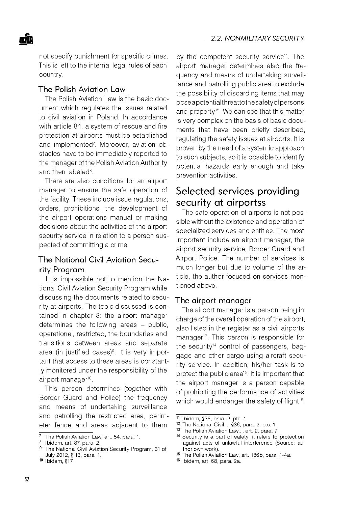not specify punishment for specific crimes. This is left to the internal legal rules of each country.

#### The Polish Aviation Law

The Polish Aviation Law is the basic document which regulates the issues related to civil aviation in Poland. In accordance with article 84, a system of rescue and fire protection at airports must be established and implemented<sup>7</sup>. Moreover, aviation obstacles have to be immediately reported to the manager of the Polish Aviation Authority and then labeled<sup>8</sup>

There are also conditions for an airport manager to ensure the safe operation of the facility. These include issue regulations, orders, prohibitions, the development of the airport operations manual or making decisions about the activities of the airport security service in relation to a person suspected of committing a crime.

## The National Civil Aviation Security Program

It is impossible not to mention the National Civil Aviation Security Program while discussing the documents related to security at airports. The topic discussed is contained in chapter 8: the airport manager determines the following areas - public, operational, restricted, the boundaries and transitions between areas and separate area (in justified cases)<sup>9</sup>. It is very important that access to these areas is constantly monitored under the responsibility of the airport manager<sup>10</sup>.

This person determines (together with Border Guard and Police) the frequency and means of undertaking surveillance and patrolling the restricted area, perimeter fence and areas adjacent to them

by the competent security service<sup>11</sup>. The airport manager determines also the frequency and means of undertaking surveillance and patrolling public area to exclude the possibility of discarding items that may pose apotentialthreatto thesafety ofpersons and property<sup>12</sup>. We can see that this matter is very complex on the basis of basic documents that have been briefly described, regulating the safety issues at airports. It is proven by the need of a systemic approach to such subjects, so it is possible to identify potential hazards early enough and take prevention activities.

# Selected services providing security at airportss

The safe operation of airports is not possible without the existence and operation of specialized services and entities. The most important include an airport manager, the airport security service, Border Guard and Airport Police. The number of services is much longer but due to volume of the article, the author focused on services mentioned above.

#### The airport manager

The airport manager is a person being in charge of the overall operation of the airport, also listed in the register as a civil airports manager13. This person is responsible for the security<sup>14</sup> control of passengers, baggage and other cargo using aircraft security service. In addition, his/her task is to protect the public area<sup>15</sup>. It is important that the airport manager is a person capable of prohibiting the performance of activities which would endanger the safety of flight<sup>16</sup>.

 $\frac{7}{7}$  The Polish Aviation Law, art. 84, para. 1.

<sup>8</sup> Ibidem, art. 87, para. 2.

The National Civil Aviation Security Program, 31 of July 2012, § 16, para. 1.

<sup>10</sup> Ibidem, §17.

<sup>11</sup> Ibidem, §36, para. 2. pts. 1

<sup>12</sup> The National Civil..., §36, para. 2. pts. 1

<sup>13</sup> The Polish Aviation Law..., art. 2, para. 7

<sup>14</sup> Security is a part of safety, it refers to protection against acts of unlawful interference (Source: author own work).

<sup>15</sup> The Polish Aviation Law, art. 186b, para. 1-4a.

<sup>16</sup> Ibidem, art. 68, para. 2a.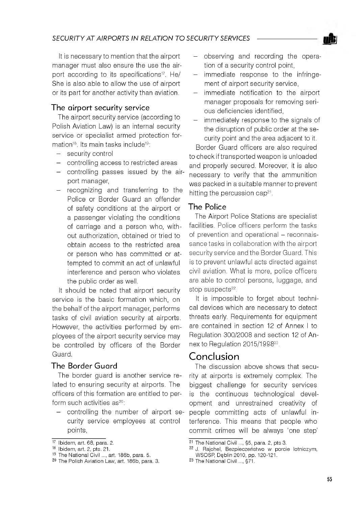It is necessary to mention that the airport manager must also ensure the use the airport according to its specifications<sup>17</sup>. He/ She is also able to allow the use of airport or its part for another activity than aviation.

### The airport security service

The airport security service (according to Polish Aviation Law) is an internal security service or specialist armed protection formation<sup>18</sup>. Its main tasks include<sup>19</sup>:

- security control
- controlling access to restricted areas
- controlling passes issued by the airport manager,
- recognizing and transferring to the Police or Border Guard an offender of safety conditions at the airport or a passenger violating the conditions of carriage and a person who, without authorization, obtained or tried to obtain access to the restricted area or person who has committed or attempted to commit an act of unlawful interference and person who violates the public order as well.

It should be noted that airport security service is the basic formation which, on the behalf of the airport manager, performs tasks of civil aviation security at airports. However, the activities performed by employees of the airport security service may be controlled by officers of the Border Guard.

#### The Border Guard

The border guard is another service related to ensuring security at airports. The officers of this formation are entitled to perform such activities as<sup>20</sup>:

- controlling the number of airport security service employees at control points,

- observing and recording the operation of a security control point,
- immediate response to the infringement of airport security service,
- immediate notification to the airport manager proposals for removing serious deficiencies identified,
- immediately response to the signals of the disruption of public order at the security point and the area adjacent to it.

Border Guard officers are also required to check if transported weapon is unloaded and properly secured. Moreover, it is also necessary to verify that the ammunition was packed in a suitable manner to prevent hitting the percussion cap<sup>21</sup>.

### The Police

The Airport Police Stations are specialist facilities. Police officers perform the tasks of prevention and operational - reconnaissance tasks in collaboration with the airport security service and the Border Guard. This is to prevent unlawful acts directed against civil aviation. What is more, police officers are able to control persons, luggage, and stop suspects<sup>22</sup>.

It is impossible to forget about technical devices which are necessary to detect threats early. Requirements for equipment are contained in section 12 of Annex I to Regulation 300/2008 and section 12 of Annex to Regulation 2015/199823.

# Conclusion

The discussion above shows that security at airports is extremely complex. The biggest challenge for security services is the continuous technological development and unrestrained creativity of people committing acts of unlawful interference. This means that people who commit crimes will be always 'one step'

<sup>17</sup> Ibidem, art. 68, para. 2.

<sup>18</sup> Ibidem, art. 2, pts. 21.

<sup>19</sup> The National Civil ..., art. 186b, para. 5.

<sup>20</sup> The Polish Aviation Law, art. 186b, para. 3.

<sup>21</sup> The National Civil ..., §5, para. 2, pts 3.

<sup>22</sup> J. Rajchel, Bezpieczeństwo w porcie lotniczym, WSOSP, Dęblin 2010, pp. 120-121.

<sup>23</sup> The National Civil ..., §71.